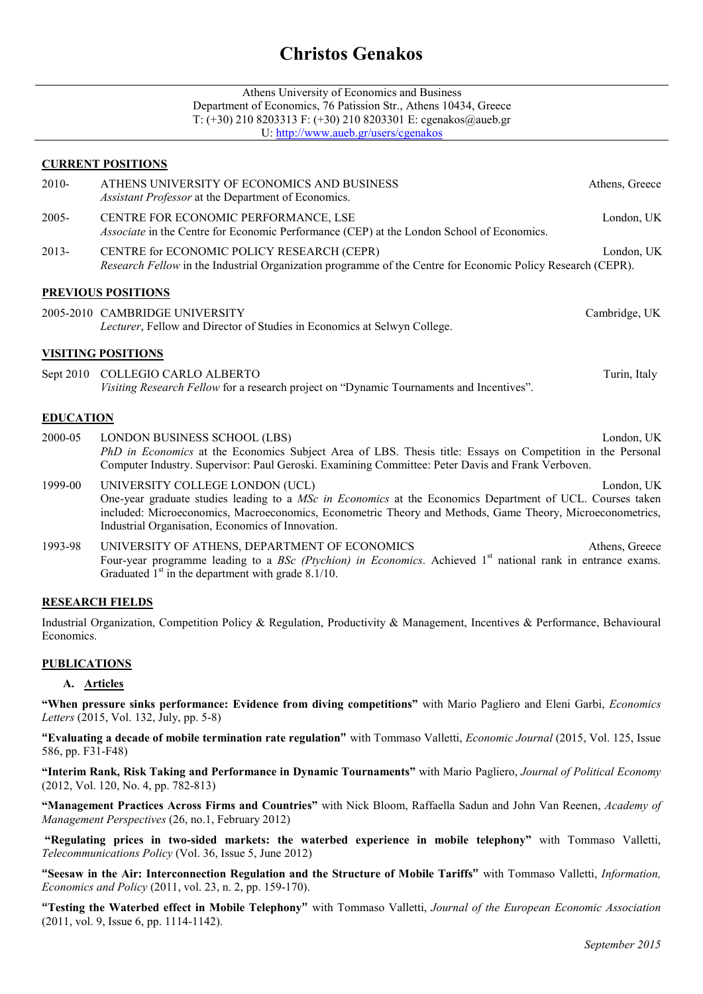# **Christos Genakos**

| Athens University of Economics and Business                       |
|-------------------------------------------------------------------|
| Department of Economics, 76 Patission Str., Athens 10434, Greece  |
| T: $(+30)$ 210 8203313 F: $(+30)$ 210 8203301 E: cgenakos@aueb.gr |
| U: http://www.aueb.gr/users/cgenakos                              |

## **CURRENT POSITIONS**

| $2010-$                   | ATHENS UNIVERSITY OF ECONOMICS AND BUSINESS<br><i>Assistant Professor</i> at the Department of Economics.                                                                                                                                                                                                      | Athens, Greece |  |  |
|---------------------------|----------------------------------------------------------------------------------------------------------------------------------------------------------------------------------------------------------------------------------------------------------------------------------------------------------------|----------------|--|--|
| $2005 -$                  | CENTRE FOR ECONOMIC PERFORMANCE, LSE<br>Associate in the Centre for Economic Performance (CEP) at the London School of Economics.                                                                                                                                                                              | London, UK     |  |  |
| $2013-$                   | CENTRE for ECONOMIC POLICY RESEARCH (CEPR)<br>Research Fellow in the Industrial Organization programme of the Centre for Economic Policy Research (CEPR).                                                                                                                                                      | London, UK     |  |  |
| <b>PREVIOUS POSITIONS</b> |                                                                                                                                                                                                                                                                                                                |                |  |  |
|                           | 2005-2010 CAMBRIDGE UNIVERSITY<br>Lecturer, Fellow and Director of Studies in Economics at Selwyn College.                                                                                                                                                                                                     | Cambridge, UK  |  |  |
| <b>VISITING POSITIONS</b> |                                                                                                                                                                                                                                                                                                                |                |  |  |
| Sept $2010$               | COLLEGIO CARLO ALBERTO<br>Visiting Research Fellow for a research project on "Dynamic Tournaments and Incentives".                                                                                                                                                                                             | Turin, Italy   |  |  |
| <b>EDUCATION</b>          |                                                                                                                                                                                                                                                                                                                |                |  |  |
| 2000-05                   | LONDON BUSINESS SCHOOL (LBS)<br>London, UK<br>PhD in Economics at the Economics Subject Area of LBS. Thesis title: Essays on Competition in the Personal<br>Computer Industry. Supervisor: Paul Geroski. Examining Committee: Peter Davis and Frank Verboven.                                                  |                |  |  |
| 1999-00                   | UNIVERSITY COLLEGE LONDON (UCL)<br>One-year graduate studies leading to a MSc in Economics at the Economics Department of UCL. Courses taken<br>included: Microeconomics, Macroeconomics, Econometric Theory and Methods, Game Theory, Microeconometrics,<br>Industrial Organisation, Economics of Innovation. | London, UK     |  |  |
| 1993-98                   | UNIVERSITY OF ATHENS, DEPARTMENT OF ECONOMICS<br>Four-year programme leading to a BSc (Ptychion) in Economics. Achieved 1 <sup>st</sup> national rank in entrance exams.<br>Graduated $1st$ in the department with grade 8.1/10.                                                                               | Athens, Greece |  |  |

#### **RESEARCH FIELDS**

Industrial Organization, Competition Policy & Regulation, Productivity & Management, Incentives & Performance, Behavioural Economics.

#### **PUBLICATIONS**

#### **A. Articles**

**"When pressure sinks performance: Evidence from diving competitions"** with Mario Pagliero and Eleni Garbi, *Economics Letters* (2015, Vol. 132, July, pp. 5-8)

**"Evaluating a decade of mobile termination rate regulation"** with Tommaso Valletti, *Economic Journal* (2015, Vol. 125, Issue 586, pp. F31-F48)

**"Interim Rank, Risk Taking and Performance in Dynamic Tournaments"** with Mario Pagliero, *Journal of Political Economy*  (2012, Vol. 120, No. 4, pp. 782-813)

**"Management Practices Across Firms and Countries"** with Nick Bloom, Raffaella Sadun and John Van Reenen, *Academy of Management Perspectives* (26, no.1, February 2012)

 **"Regulating prices in two-sided markets: the waterbed experience in mobile telephony"** with Tommaso Valletti, *Telecommunications Policy* (Vol. 36, Issue 5, June 2012)

**"Seesaw in the Air: Interconnection Regulation and the Structure of Mobile Tariffs"** with Tommaso Valletti, *Information, Economics and Policy* (2011, vol. 23, n. 2, pp. 159-170).

**"Testing the Waterbed effect in Mobile Telephony"** with Tommaso Valletti, *Journal of the European Economic Association*  (2011, vol. 9, Issue 6, pp. 1114-1142).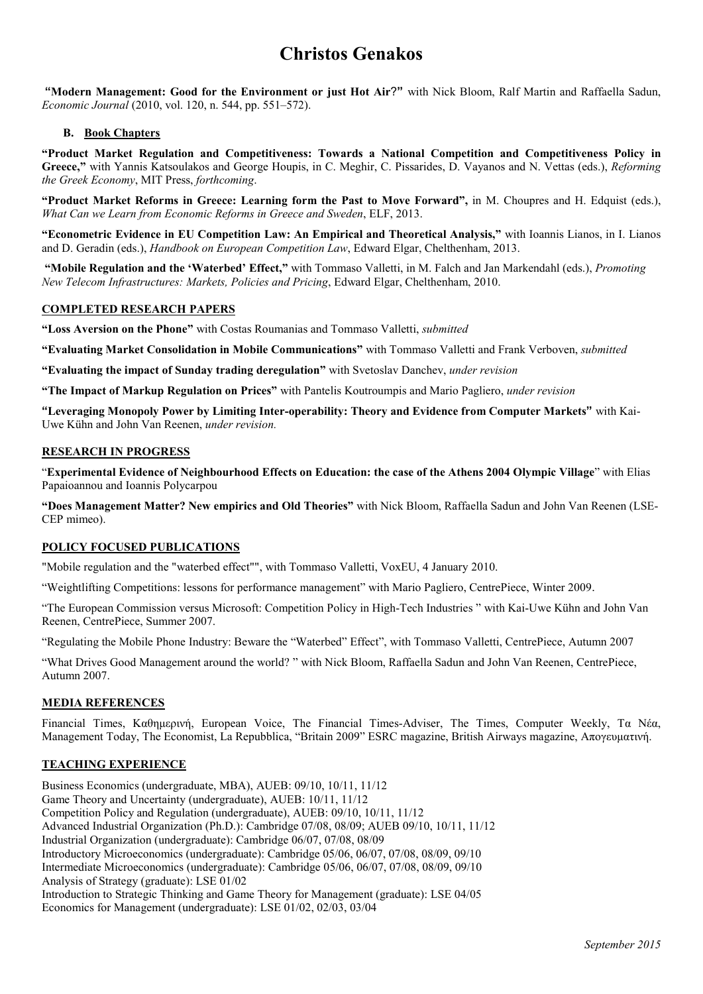# **Christos Genakos**

 **"Modern Management: Good for the Environment or just Hot Air**?**"** with Nick Bloom, Ralf Martin and Raffaella Sadun, *Economic Journal* (2010, vol. 120, n. 544, pp. 551–572).

## **B. Book Chapters**

**"Product Market Regulation and Competitiveness: Towards a National Competition and Competitiveness Policy in Greece,"** with Yannis Katsoulakos and George Houpis, in C. Meghir, C. Pissarides, D. Vayanos and N. Vettas (eds.), *Reforming the Greek Economy*, MIT Press, *forthcoming*.

**"Product Market Reforms in Greece: Learning form the Past to Move Forward",** in M. Choupres and H. Edquist (eds.), *What Can we Learn from Economic Reforms in Greece and Sweden*, ELF, 2013.

**"Econometric Evidence in EU Competition Law: An Empirical and Theoretical Analysis,"** with Ioannis Lianos, in I. Lianos and D. Geradin (eds.), *Handbook on European Competition Law*, Edward Elgar, Chelthenham, 2013.

 **"Mobile Regulation and the 'Waterbed' Effect,"** with Tommaso Valletti, in M. Falch and Jan Markendahl (eds.), *Promoting New Telecom Infrastructures: Markets, Policies and Pricing*, Edward Elgar, Chelthenham, 2010.

## **COMPLETED RESEARCH PAPERS**

**"Loss Aversion on the Phone"** with Costas Roumanias and Tommaso Valletti, *submitted*

**"Evaluating Market Consolidation in Mobile Communications"** with Tommaso Valletti and Frank Verboven, *submitted* 

**"Evaluating the impact of Sunday trading deregulation"** with Svetoslav Danchev, *under revision* 

**"The Impact of Markup Regulation on Prices"** with Pantelis Koutroumpis and Mario Pagliero, *under revision* 

**"Leveraging Monopoly Power by Limiting Inter-operability: Theory and Evidence from Computer Markets"** with Kai-Uwe Kühn and John Van Reenen, *under revision.* 

#### **RESEARCH IN PROGRESS**

"**Experimental Evidence of Neighbourhood Effects on Education: the case of the Athens 2004 Olympic Village**" with Elias Papaioannou and Ioannis Polycarpou

**"Does Management Matter? New empirics and Old Theories"** with Nick Bloom, Raffaella Sadun and John Van Reenen (LSE-CEP mimeo).

#### **POLICY FOCUSED PUBLICATIONS**

"Mobile regulation and the "waterbed effect"", with Tommaso Valletti, VoxEU, 4 January 2010.

"Weightlifting Competitions: lessons for performance management" with Mario Pagliero, CentrePiece, Winter 2009.

"The European Commission versus Microsoft: Competition Policy in High-Tech Industries " with Kai-Uwe Kühn and John Van Reenen, CentrePiece, Summer 2007.

"Regulating the Mobile Phone Industry: Beware the "Waterbed" Effect", with Tommaso Valletti, CentrePiece, Autumn 2007

"What Drives Good Management around the world? " with Nick Bloom, Raffaella Sadun and John Van Reenen, CentrePiece, Autumn 2007.

#### **MEDIA REFERENCES**

Financial Times, Καθηµερινή, European Voice, The Financial Times-Adviser, The Times, Computer Weekly, Τα Νέα, Management Today, The Economist, La Repubblica, "Britain 2009" ESRC magazine, British Airways magazine, Απογευµατινή.

#### **TEACHING EXPERIENCE**

Business Economics (undergraduate, MBA), AUEB: 09/10, 10/11, 11/12 Game Theory and Uncertainty (undergraduate), AUEB: 10/11, 11/12 Competition Policy and Regulation (undergraduate), AUEB: 09/10, 10/11, 11/12 Advanced Industrial Organization (Ph.D.): Cambridge 07/08, 08/09; AUEB 09/10, 10/11, 11/12 Industrial Organization (undergraduate): Cambridge 06/07, 07/08, 08/09 Introductory Microeconomics (undergraduate): Cambridge 05/06, 06/07, 07/08, 08/09, 09/10 Intermediate Microeconomics (undergraduate): Cambridge 05/06, 06/07, 07/08, 08/09, 09/10 Analysis of Strategy (graduate): LSE 01/02 Introduction to Strategic Thinking and Game Theory for Management (graduate): LSE 04/05 Economics for Management (undergraduate): LSE 01/02, 02/03, 03/04